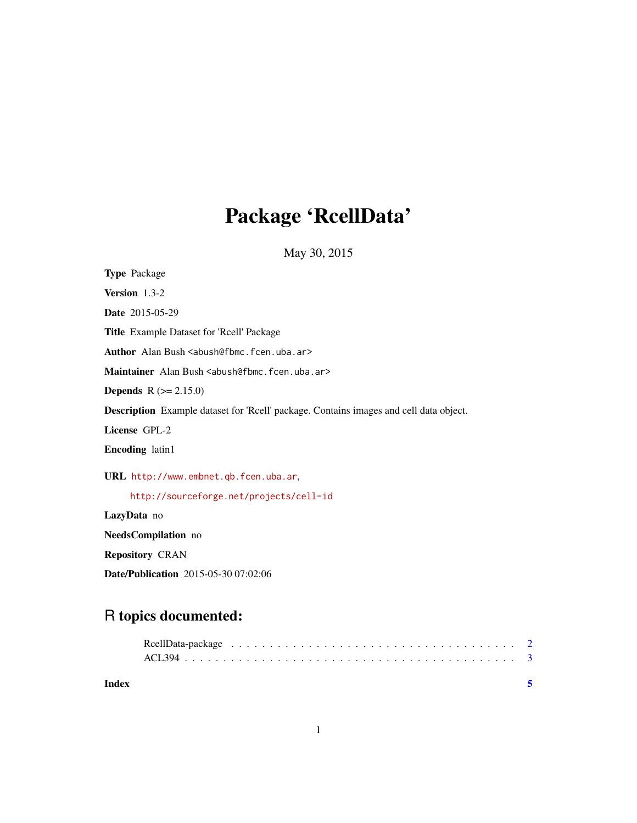# Package 'RcellData'

May 30, 2015

| <b>Type Package</b>                                                                    |  |  |
|----------------------------------------------------------------------------------------|--|--|
| <b>Version</b> $1.3-2$                                                                 |  |  |
| <b>Date</b> 2015-05-29                                                                 |  |  |
| Title Example Dataset for 'Rcell' Package                                              |  |  |
| Author Alan Bush <abush@fbmc.fcen.uba.ar></abush@fbmc.fcen.uba.ar>                     |  |  |
| Maintainer Alan Bush <abush@fbmc.fcen.uba.ar></abush@fbmc.fcen.uba.ar>                 |  |  |
| <b>Depends</b> $R (= 2.15.0)$                                                          |  |  |
| Description Example dataset for 'Reell' package. Contains images and cell data object. |  |  |
| License GPL-2                                                                          |  |  |
| <b>Encoding</b> latin1                                                                 |  |  |
| URL http://www.embnet.qb.fcen.uba.ar,                                                  |  |  |
| http://sourceforge.net/projects/cell-id                                                |  |  |
| LazyData no                                                                            |  |  |
| <b>NeedsCompilation</b> no                                                             |  |  |
|                                                                                        |  |  |

Repository CRAN

Date/Publication 2015-05-30 07:02:06

# R topics documented:

| Index |  |
|-------|--|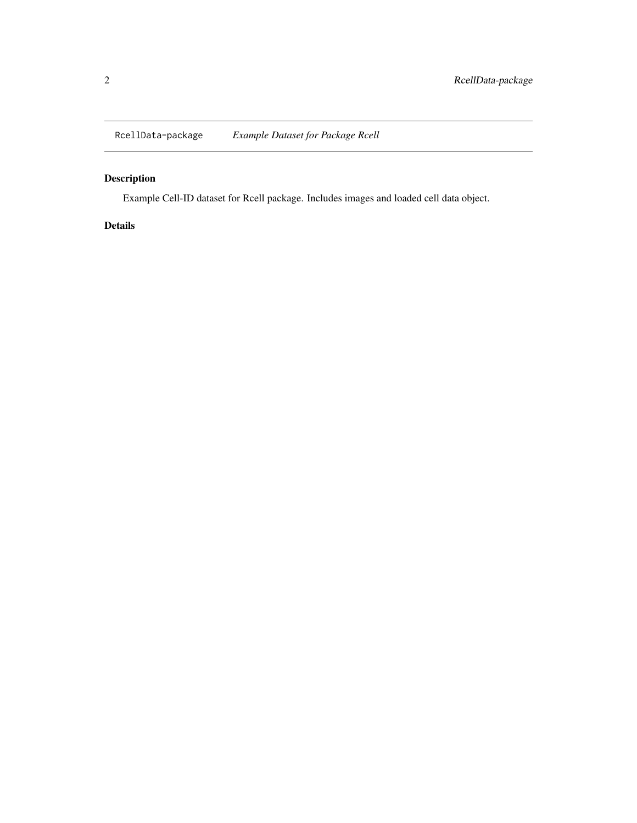<span id="page-1-0"></span>RcellData-package *Example Dataset for Package Rcell*

# Description

Example Cell-ID dataset for Rcell package. Includes images and loaded cell data object.

### Details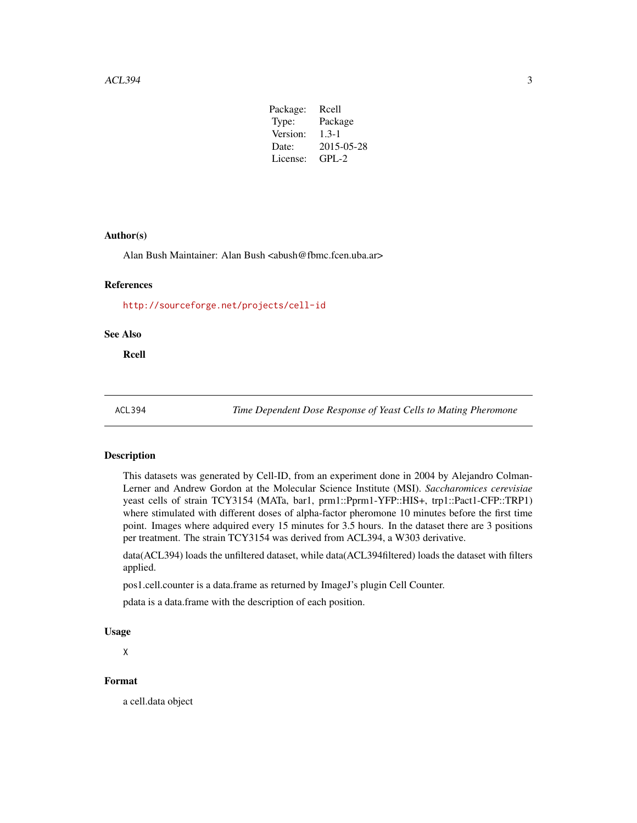| Package: | Rcell      |
|----------|------------|
| Type:    | Package    |
| Version: | $1.3 - 1$  |
| Date:    | 2015-05-28 |
| License: | $GPI - 2$  |
|          |            |

#### <span id="page-2-0"></span>Author(s)

Alan Bush Maintainer: Alan Bush <abush@fbmc.fcen.uba.ar>

#### References

<http://sourceforge.net/projects/cell-id>

#### See Also

Rcell

ACL394 *Time Dependent Dose Response of Yeast Cells to Mating Pheromone*

#### Description

This datasets was generated by Cell-ID, from an experiment done in 2004 by Alejandro Colman-Lerner and Andrew Gordon at the Molecular Science Institute (MSI). *Saccharomices cerevisiae* yeast cells of strain TCY3154 (MATa, bar1, prm1::Pprm1-YFP::HIS+, trp1::Pact1-CFP::TRP1) where stimulated with different doses of alpha-factor pheromone 10 minutes before the first time point. Images where adquired every 15 minutes for 3.5 hours. In the dataset there are 3 positions per treatment. The strain TCY3154 was derived from ACL394, a W303 derivative.

data(ACL394) loads the unfiltered dataset, while data(ACL394filtered) loads the dataset with filters applied.

pos1.cell.counter is a data.frame as returned by ImageJ's plugin Cell Counter.

pdata is a data.frame with the description of each position.

#### Usage

X

### Format

a cell.data object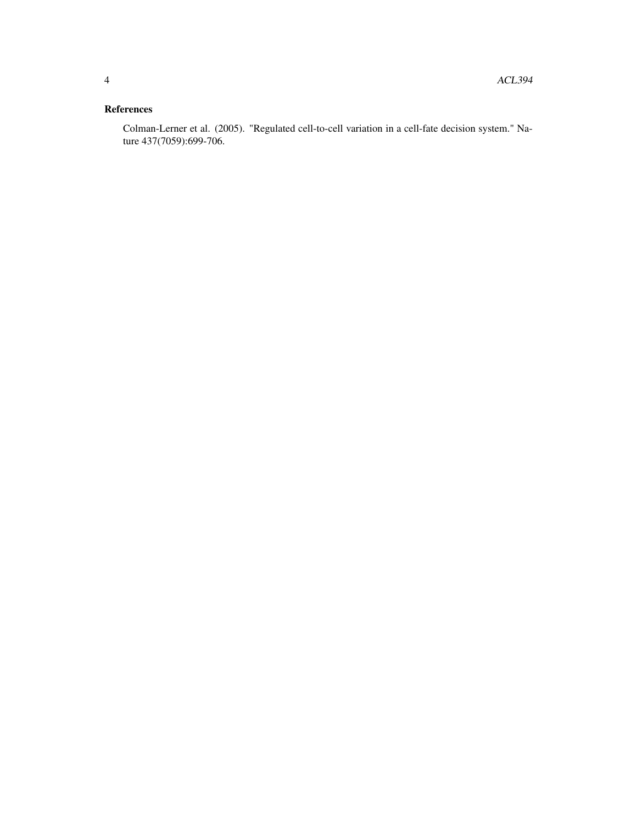## References

Colman-Lerner et al. (2005). "Regulated cell-to-cell variation in a cell-fate decision system." Nature 437(7059):699-706.